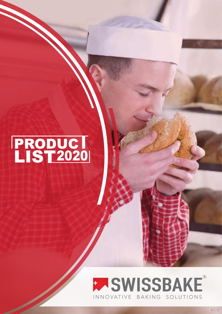# PRODUCI<br>LIST2020

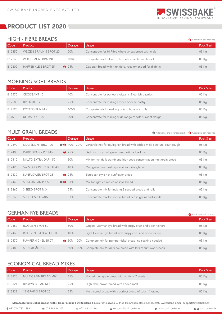

 $\bigcirc$  Additional improver required  $\bigcirc$  Additional salt required

Additional salt required

**Additional salt required** 

# PRODUCT LIST 2020

#### HIGH - FIBRE BREADS

| Code   | Product                       | <b>Dosage</b> | <b>Usage</b>                                             | <b>Pack Size</b> |
|--------|-------------------------------|---------------|----------------------------------------------------------|------------------|
| B12350 | <b>WEIZEN BRAUNIS BROT 20</b> | 20%           | Concentrate for Hi-Fibre whole wheat bread with malt     | 05 Kg            |
| B12360 | WHOLEMEAL BRAUNIS             | 100%          | Complete mix for bran rich whole meal brown bread        | 05 Kg            |
| B12600 | <b>HAFFER KLEIE BROT 25</b>   | $\bullet$ 25% | Oat bran bread with high fibre, recommended for diabitic | 05 Kg            |

# MORNING SOFT BREADS

| Code   | Product             | <b>Dosage</b> | Usage                                                   | Pack Size |
|--------|---------------------|---------------|---------------------------------------------------------|-----------|
| B12570 | <b>CROISSANT 10</b> | 10%           | Concentrate for perfect croissants & danish pastries    | 05 Kg     |
| B12580 | BRIOCHES 25         | 25%           | Concentrate for making French brioche pastry            | 05 Kg     |
| B12590 | POTATO BUN MIX      | 100%          | Complete mix for making potato buns and rolls           | 05 Kg     |
| i12870 | ULTRA-SOFT 20       | 20%           | Concentrate for making wide range of soft & sweet dough | 05 Kg     |

## MULTIGRAIN BREADS

Versartile mix for multigrain bread with added malt & natural sour dough Dark & crusty multigrain bread with added malt Mix for rich dark crumb and high seed concentration multigrain bread Multigrain bread with rye and sour dough flour European style rich sunflower bread Mix for light crumb color soya bread Concentrate mix for making 3 seeded bread and rolls Concentrate mix for special bread rich in grains and seeds 05 Kg 05 Kg 05 Kg 05 Kg 05 Kg 05 Kg 05 Kg 05 Kg MULTSKORN BROT 20 DARK GRAINY PREMIX MALTO EXTRA DARK 50 SWISS COUNTRY BROT 40 SUNFLOWER BROT 25 SB SOJA PAN PLUS 3 SEED BROT MIX SELECT SIX GRAIN B12390 B12400 B12410 B12420 B12430 B12440 B13360 B13365  $\bullet$  10% - 30% **8** 25% 50% 40%  $825%$ 00 33% 25% 33% Code Product Dosage Dosage Usage Pack Size (Dosage Pack Size ) (Dosage Pack Size ) (Dosage Pack Size ) (Dosage

### GERMAN RYE BREADS

| Code   | Product              | <b>Dosage</b> | Usage                                                              | <b>Pack Size</b> |
|--------|----------------------|---------------|--------------------------------------------------------------------|------------------|
| B12450 | ROGGEN BROT 50       | 50%           | Original German rye bread with crispy crust and open texture       | 05 Kg            |
| B12460 | ROGGEN BROT 40 LIGHT | 40%           | Light German rye bread with crispy crust and open texture          | 05 Kg            |
| B12470 | PUMPERNICKEL BROT    |               | \$ 50%-100% Complete mix for pumpernickel bread, no soaking needed | 05 Kg            |
| B12480 | <b>SB NORLÄNDER</b>  | 50% -100%     | Complete mix for dark rye bread with lots of sunflower seeds       | 05 Kg            |

## ECONOMICAL BREAD MIXES

| Code   | <b>Product</b>              | <b>Dosage</b> | <b>Usage</b>                                               | <b>Pack Size</b> |
|--------|-----------------------------|---------------|------------------------------------------------------------|------------------|
| B13320 | <b>MULTIGRAIN BREAD MIX</b> | 15%           | Malted multigrain bread with a mix of 7 seeds              | 05 Kg            |
| B13321 | BROWN BREAD MIX             | 25%           | High fibre brown bread with added malt                     | 05 Kg            |
| B13322 | 11 GRAINS BROT 25           | 25%           | Multi-cereal bread with a perfect blend of total 11 grains | 05 Kg            |

| $\mathbb{C}$ +91 744 733 1888 | ■ 022 249 441 01 | ● 022 249 441 04 | support@swissbake.in | ₿ www.swissbake.in | $\blacksquare$ swissbakemix |
|-------------------------------|------------------|------------------|----------------------|--------------------|-----------------------------|
|                               |                  |                  |                      |                    |                             |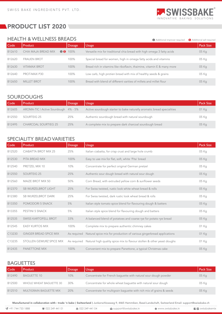

Additional improver required Additional salt required

# **REPRODUCT LIST 2020**

#### HEALTH & WELLNESS BREADS

|        |                     |               | <b>WE Additional improver required</b>                                  | <b>COMPUTER</b> SAIL IEQUIIEU |
|--------|---------------------|---------------|-------------------------------------------------------------------------|-------------------------------|
| Code   | Product             | <b>Dosage</b> | <b>Usage</b>                                                            | Pack Size                     |
| B12610 | CHIA MAJA BREAD MIX | 00 100%       | Versatile mix for traditional chia bread with high omega 3 fatty acids  | 05 Kg                         |
| B12620 | <b>FRAUEN BROT</b>  | 100%          | Special bread for women, high in omega fatty acids and vitamins         | 05 Kg                         |
| B12630 | <b>VITAMAX BROT</b> | 100%          | Bread rich in vitamins like riboflavin, thaimine, vitamin E & many more | 05 Kg                         |
| B12640 | PROT-MAX P30        | 100%          | Low carb, high protien bread with mix of healthy seeds & grains         | 05 Kg                         |
| B12650 | <b>MILLET BROT</b>  | 100%          | Bread with blend of different varities of millets and millet flour      | 05 Kg                         |

## SOURDOUGHS

| Code   | Product                              | <b>Dosage</b> | Usage                                                                  | <b>Pack Size</b> |
|--------|--------------------------------------|---------------|------------------------------------------------------------------------|------------------|
| B12605 | AROMA-TIC   Active Sourdough 4% - 5% |               | Active sourdough starter to bake naturally aromatic bread specialities | 01 Kg            |
| B12550 | SOURTEIG 25                          | 25%           | Authentic sourdough bread with natural sourdough                       | 05 Kg            |
| B12495 | <b>CHARCOAL SOURTIEG 25</b>          | 25%           | A complete mix to prepare dark charcoal sourdough bread                | 05 Kg            |

#### SPECIALITY BREAD VARIETIES

| Code   | Product                       | Dosage      | <b>Usage</b>                                                           | Pack Size |
|--------|-------------------------------|-------------|------------------------------------------------------------------------|-----------|
| B12520 | <b>CIABATTA BROT MIX 25</b>   | 25%         | Italian ciabatta, for crisp crust and large hole crumb                 | 05 Kg     |
| B12530 | PITA BREAD MIX                | 100%        | Easy to use mix for flat, soft, white 'Pita' bread                     | 05 Kg     |
| B12540 | PRETZEL MIX 10                | 10%         | Concentrate for perfect original German pretzel                        | 05 Kg     |
| B12550 | <b>SOURTEIG 25</b>            | 25%         | Authentic sour dough bread with natural sour dough                     | 05 Kg     |
| B12560 | <b>MAIZE BROT MIX 50</b>      | 50%         | Corn Bread, with extruded yellow corn & sunflower seeds                | 05 Kg     |
| B12370 | <b>SB WURZELBROT LIGHT</b>    | 25%         | For Swiss twisted, rustic look white wheat bread & rolls               | 05 Kg     |
| B12380 | <b>SB WURZELBROT DARK</b>     | 25%         | For Swiss twisted, dark rustic look wheat bread & rolls                | 05 Kg     |
| B13350 | <b>POMODORI 5 SNACK</b>       | 5%          | Italian style tomato spice blend for flavouring dough & batters        | 05 Kg     |
| B13355 | PESTINI 5 SNACK               | 5%          | Italian style spice blend for flavouring dough and batters             | 05 Kg     |
| B12535 | <b>SWISS KARTOFELL BROT</b>   | 33%         | A balanced blend of potatoes and coarse rye for potato rye bread       | 05 Kg     |
| B12545 | <b>EASY KURTOS MIX</b>        | 100%        | Complete mix to prepare authentic chimney cakes                        | 01 Kg     |
| C13230 | <b>GINGER BREAD SPICE MIX</b> | As required | Natural spice mix for production of various gingerbread applications   | 01 Kg     |
| C13235 | STOLLEN GEWURZ SPICE MIX      | As required | Natural high quality spice mix to flavour stollen & other yeast doughs | 01 Kg     |
| B12435 | <b>PANETTONE MIX</b>          | 100%        | Convenient mix to prepare Panettone, a typical Christmas cake          | 05 Kg     |

#### **BAGUETTES**

| Code   | Product                 | <b>Dosage</b> | Usage                                                               | <b>Pack Size</b> |
|--------|-------------------------|---------------|---------------------------------------------------------------------|------------------|
| B12490 | <b>BAGUETTE 10</b>      | 10%           | Concentrate for French baquette with natural sour dough powder      | 05 Kg            |
| B12500 | WHOLE WHEAT BAGUETTE 30 | 30%           | Concentrate for whole wheat baquette with natural sour dough        | 05 Kg            |
| B12510 | MULTIGRAIN BAGUETTE MIX | 20%           | Concentrate for multigrain baquette with rich mix of grains & seeds | 05 Kg            |

| \\$ +91 744 733 1888 | <b>■ 022 249 441 01</b> | ● 022 249 441 04 | support@swissbake.in | ● www.swissbake.in | $\blacksquare$ swissbakemix |
|----------------------|-------------------------|------------------|----------------------|--------------------|-----------------------------|
|                      |                         |                  |                      |                    |                             |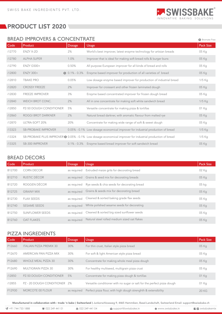

## BREAD IMPROVERS & CONCENTRATE

|        | <b>BREAD IMPROVERS &amp; CONCENTRATE</b><br><b>B</b> Bromate Free |                       |                                                                                                           |           |  |
|--------|-------------------------------------------------------------------|-----------------------|-----------------------------------------------------------------------------------------------------------|-----------|--|
| Code   | Product                                                           | <b>Dosage</b>         | <b>Usage</b>                                                                                              | Pack Size |  |
| i12770 | ENZY X-2D                                                         | 2%                    | World's best improver, latest enzyme technology for artisian breads                                       | 05 Kg     |  |
| i12780 | <b>ALPHA SUPER</b>                                                | 1.0%                  | Improver that is ideal for making soft bread rolls & burger buns                                          | 05 Kg     |  |
| i12790 | <b>ENZY G500+</b>                                                 | 0.50%                 | All purpose European improver for all kinds of bread and rolls                                            | 05 Kg     |  |
| i12800 | <b>ENZY 300+</b>                                                  | $\bullet$ 0.1% - 0.3% | Enzyme based improver for production of all varieties of bread                                            | 05 Kg     |  |
| i12810 | <b>TBAKE PRO</b>                                                  | 0.05%                 | Low dosage enzyme based improver for production of industrial bread                                       | $1/5$ Kg  |  |
| i12820 | <b>CROSSY FREEZE</b>                                              | 2%                    | Improver for croissant and other frozen laminated dough                                                   | 05 Kg     |  |
| i12830 | <b>FREEZE IMPROVER</b>                                            | 3%                    | Enzyme based concentrated improver for frozen dough bread                                                 | 05 Kg     |  |
| i12840 | <b>WEICH BROT CONC.</b>                                           | 2%                    | All in one concentrate for making soft white sandwich bread                                               | 1/5 Kg    |  |
| i12850 | PZ-50 DOUGH CONDITIONER                                           | 5%                    | Versatile concentrate for making pizza & tortillas                                                        | 01 Kg     |  |
| i12860 | <b>ROGGI BROT DARKNER</b>                                         | 2%                    | Natural bread darkner, with aromatic flavour from malted rye                                              | 05 Kg     |  |
| i12870 | ULTRA-SOFT 20%                                                    | 20%                   | Concentrate for making wide range of soft & sweet dough                                                   | 05 Kg     |  |
| i13323 | <b>SB-PROBAKE IMPROVER</b>                                        |                       | 0.05% - 0.1% Low dosage economical improver for industrial production of bread                            | $1/5$ Kg  |  |
| i13324 |                                                                   |                       | SB-PROBAKE PLUS IMPROVER @ 0.05% - 0.1% Low dosage economical improver for industrial production of bread | 1/5 Kg    |  |
| i13325 | <b>SB-300 IMPROVER</b>                                            | $0.1\% - 0.3\%$       | Enzyme based bread improver for soft sandwich bread                                                       | 05 Kg     |  |

#### BREAD DECORS

| Code   | Product                | <b>Dosage</b> | <b>Usage</b>                                 | <b>Pack Size</b> |
|--------|------------------------|---------------|----------------------------------------------|------------------|
| B12700 | CORN DECOR             | as required   | Extruded maize grits for decorating bread    | 02 Kg            |
| B12710 | RUSTIC DÉCOR           | as required   | Grains & seed mix for decorating breads      | 05 Kg            |
| B12720 | ROGGEN DÉCOR           | as required   | Rye seeds & chia seeds for decorating bread  | 05 <sub>kg</sub> |
| B12725 | <b>GRAINY MIX</b>      | as required   | Grains & seeds mix for decorating bread      | 05 Kg            |
| B12730 | <b>FLAX SEEDS</b>      | as required   | Cleaned & sorted baking grade flax seeds     | 05 Kg            |
| B12740 | <b>SESAME SEEDS</b>    | as required   | White polished sesame seeds for decorating   | 05 Kg            |
| B12750 | <b>SUNFLOWER SEEDS</b> | as required   | Cleaned & sorted big sized sunflower seeds   | 05 Kg            |
| B12760 | <b>OAT FLAKES</b>      | as required   | Natural steel rolled medium sized oat flakes | 05 Kg            |

# PIZZA INGREDIENTS

| Code   | Product                        | Dosage      | Usage                                                                   | <b>Pack Size</b> |
|--------|--------------------------------|-------------|-------------------------------------------------------------------------|------------------|
| P12660 | <b>ITALIAN PIZZA PREMIX 30</b> | 30%         | For thin crust, Italian style pizza bread                               | 05 Kg            |
| P12670 | AMERICAN PAN PIZZA MIX         | 30%         | For soft & light American style pizza bread                             | 05 Kg            |
| P12680 | <b>WHOLE MEAL PIZZA 30</b>     | 30%         | Concentrate for making whole meal pizza dough                           | 05 Kg            |
| P12690 | MULTIGRAIN PIZZA 30            | 30%         | For healthy multiseed, multigrain pizza crust                           | 05 Kg            |
| i12850 | <b>PZ-50 DOUGH CONDITIONER</b> | 5%          | Concentrate for making pizza dough & tortillas                          | 01 Kg            |
| i12855 | PZ - 20 DOUGH CONDITIONER 2%   |             | Versatile conditioner with no sugar or salt for the perfect pizza dough | 01 Kg            |
| F12930 | <b>MORCOTE 00 FLOUR</b>        | as required | Perfect pizza flour, with high dough strenghth & extensibility          | 20 KG            |

| $\mathcal{C}$ +91 744 733 1888 | ■ 022 249 441 01 | ● 022 249 441 04 | support@swissbake.in | ₿ www.swissbake.in | <b>E</b> swissbakemix |
|--------------------------------|------------------|------------------|----------------------|--------------------|-----------------------|
|                                |                  |                  |                      |                    |                       |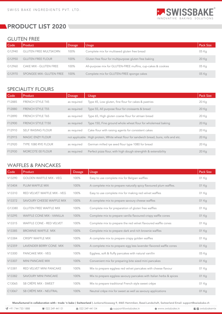

#### GLUTEN FREE

| Code   | Product                      | <b>Dosage</b> | <b>Usage</b>                                                 | <b>Pack Size</b> |
|--------|------------------------------|---------------|--------------------------------------------------------------|------------------|
| G12940 | <b>GLUTEN FREE MULTSKORN</b> | 100%          | Complete mix for multiseed gluten free bread                 | 05 Kg            |
| G12950 | <b>GLUTEN FREE FLOUR</b>     | 100%          | Gluten free flour for multipurpose gluten free baking        | 20 Kg            |
| G12960 | CAKE MIX - GLUTEN FREE       | 100%          | All-purpose mix for GLUTEN-FREE muffins, cup-cakes & cookies | 05 Kg            |
| G12970 | SPONGEE MIX- GLUTEN FREE     | 100%          | Complete mix for GLUTEN-FREE sponge cakes                    | 05 Kg            |

# SPECIALITY FLOURS

| Code   | <b>Product</b>            | <b>Dosage</b> | <b>Usage</b>                                                                            | <b>Pack Size</b> |
|--------|---------------------------|---------------|-----------------------------------------------------------------------------------------|------------------|
| F12885 | <b>FRENCH STYLE T45</b>   | as required   | Type 45, Low gluten, fine flour for cakes & pastries                                    | 20 Kg            |
| F12880 | <b>FRENCH STYLE T55</b>   | as required   | Type 55, All purpose flour for croissants & bread                                       | 20 Kg            |
| F12890 | <b>FRENCH STYLE T65</b>   | as required   | Type 65, High gluten coarse flour for atrisan bread                                     | 20 Kg            |
| F12900 | <b>FRENCH STYLE T150</b>  | as required   | Type 150, Fine ground whole wheat flour for wholemeal baking                            | 20 Kg            |
| F12910 | <b>SELF RAISING FLOUR</b> | as required   | Cake flour with raising agents for consistent cakes                                     | 20 Kg            |
| F12915 | <b>MAGIC ENZY FLOUR</b>   |               | not applicable High protein, White wheat flour for sandwich bread, buns, rolls and etc. | 20 Kg            |
| F12920 | TYPE 1080 RYE FLOUR       | as required   | German milled rye seed flour type 1080 for bread                                        | 20 Kg            |
| F12930 | <b>MORCOTE 00 FLOUR</b>   | as required   | Perfect pizza flour, with high dough strenghth & extensibility                          | 20 Kg            |

## WAFFLES & PANCAKES

| Code   | Product                         | <b>Dosage</b> | <b>Usage</b>                                                        | <b>Pack Size</b> |
|--------|---------------------------------|---------------|---------------------------------------------------------------------|------------------|
| V13290 | <b>GOLDEN WAFFLE MIX - VEG</b>  | 100%          | Easy to use complete mix for Belgian waffles                        | 01 Kg            |
| V13404 | PLUM WAFFLE MIX                 | 100%          | A complete mix to prepare naturally spicy flavoured plum waffles.   | 01 Kg            |
| V13310 | RED VELVET WAFFLE MIX - VEG     | 100%          | Easy to use complete mix for making red velvet waffles              | 01 Kg            |
| V13372 | SAVOURY CHEESE WAFFLE MIX       | 100%          | A complete mix to prepare savoury cheese waffles                    | 01 Kg            |
| G13380 | <b>GLUTEN FREE WAFFLE MIX</b>   | 100%          | Complete mix for preparation of gluten free waffles                 | 01 Kg            |
| V13295 | WAFFLE CONE MIX - VANILLA       | 100%          | Complete mix to prepare vanilla flavoured crispy waffle cones       | 01 Kg            |
| V13315 | <b>WAFFLE CONE - RED VELVET</b> | 100%          | Complete mix to prepare the red velvet flavoured waffle cones       | 01 Kg            |
| V13385 | BROWNIE WAFFLE MIX              | 100%          | Complete mix to prepare dark and rich brownie waffles               | 01 Kg            |
| V13384 | <b>CRISPY WAFFLE MIX</b>        | 100%          | A complete mix to prepare crispy golden waffles                     | 01 Kg            |
| V12359 | LAVENDER BERRY CONE MIX         | 100%          | A complete mix to prepare egg less lavender flavored waffle cones   | 01 Kg            |
| V13300 | PANCAKE MIX - VEG               | 100%          | Eggless, soft & fluffy pancakes with natural vanillin               | 05 Kg            |
| V13307 | MINI PANCAKE MIX                | 100%          | Convenient mix for preparing bite sized mini pancakes               | 01 Kg            |
| V13381 | RED VELVET MINI PANCAKE         | 100%          | Mix to prepare eggless red velvet pancakes with cheese flavour      | 01 Kg            |
| V13382 | <b>SAVOURY MINI PANCAKE</b>     | 100%          | Mix to prepare eggless savoury pancakes with Italian herbs & spices | 01 Kg            |
| C13065 | SB CRÊPE MIX - SWEET            | 100%          | Mix to prepare traditional French style sweet crêpe                 | 01 Kg            |
| C13067 | SB CRÊPE MIX - NEUTRAL          | 100%          | Neutral crêpe mix for sweet as well as savoury applications         | 01 Kg            |

| $\mathbb{C}$ +91 744 733 1888 | <b>雪 022 249 441 01</b> | ● 022 249 441 04 | support@swissbake.in | ₿ www.swissbake.in | <b>E</b> swissbakemix |
|-------------------------------|-------------------------|------------------|----------------------|--------------------|-----------------------|
|                               |                         |                  |                      |                    |                       |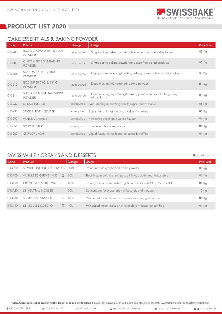

 $\bullet$  Milk based recipe

# PRODUCT LIST 2020

# CAKE ESSENTIALS & BAKING POWDER

| Code   | Product                                        | <b>Dosage</b> | <b>Usage</b>                                                                      | <b>Pack Size</b> |
|--------|------------------------------------------------|---------------|-----------------------------------------------------------------------------------|------------------|
| C13200 | ECO STANDARD SA1 BAKING<br><b>POWDER</b>       | as required   | Single acting baking powder ideal for economical stable batter                    | 05 Kg            |
| C13203 | <b>GLUTEN FREE SA1 BAKING</b><br><b>POWDER</b> | as required   | Single acting baking powder for gluten free baked products                        | 05 Kg            |
| C13206 | STANDARD SA1 BAKING<br><b>POWDER</b>           | as required   | High performance single acting baking powder ideal for daily baking               | 05 Kg            |
| C13210 | ECO SUPER DA2 BAKING<br><b>POWDER</b>          | as required   | Double acting high strength baking powder                                         | 05 Kg            |
| C13214 | SUPER PREMIUM DA2 BAKING<br><b>POWDER</b>      | as required   | Double acting high strength baking powder suitable for large range<br>of products | 05 Kg            |
| C13220 | <b>NEUSCHNEE SB</b>                            | as required   | Non-Melting decorating vanilla sugar, freeze stable                               | 05 Kg            |
| C13230 | <b>SPICE BLEND - GINGER</b>                    | as required   | Spice blend for gingerbread cakes & cookies                                       | 01 Kg            |
| C13240 | <b>VANILLA CREAMY</b>                          | as required   | Powdered bakestable vanilla flavour                                               | 01 Kg            |
| C13250 | <b>SCHOKO MILD</b>                             | as required   | Powdered chocolate flavour                                                        | 01 Kg            |
| C13260 | <b>CITRUS PUNCH</b>                            | as required   | Liquid flavour citrus blend for cakes & muffins                                   | 01 Kg            |

## SWISS-WHIP / CREAMS AND DESSERTS

Code Product Dosage Dosage Usage Pack Size (Dosage Pack Size ) (Dosage Pack Size ) (Dosage Pack Size ) (Dosage D13090 01 Kg Instant non-dairy whipped cream powder SB WHIPPING CREAM POWDER 100% D13100 VANILLESO CRÈME - M30 <sup>O</sup> 30% Thick instant cold custard, pastry filling, gelatin free, bakestable 01 Kg D13110 CRÈME PATISSIERE - W40 40% Creamy texture cold custard, gelatin free, bakestable , freeez stable 01 Kg SB NEUTRAL MOUSSE 50% 10 Kg D13120 Concentrate for preparation of bavarois and mousse D13130 SB MOUSSE VANILLA  $\bullet$ 40% Milk based Instant cream rich vanilla mousse, gelatin free 01 Kg SB MOUSSE SCHOKO D13140  $\bullet$ 40% Milk based Instant cocoa rich chocolate mousse, gelatin free 01 Kg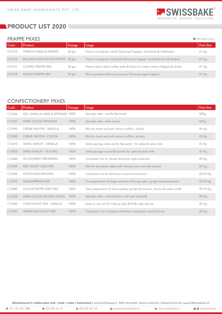

 $\bullet$  Milk based recipe

# **REPRODUCT LIST 2020**

#### FRAPPE MIXES

| Code               | Product                        | <b>Dosage</b> | Usage                                                                      | <b>Pack Size</b> |
|--------------------|--------------------------------|---------------|----------------------------------------------------------------------------|------------------|
| D <sub>12375</sub> | FRENCH VANILLA FRAPPE          | 30 gm         | Premix to prepare vanilla flavoured frappes, smoothies & milkshakes        | 01 Kg            |
| D12376             | BELGAIN CHOCOLATE FRAPPE 30 qm |               | Premix to prepare chocolate flavoured frappes, smoothies & milk shakes     | 01 Kg            |
| D12377             | <b>COFFEE FRAPPE MIX</b>       | 30 gm         | Premix with a bold coffee taste & flavor to create creamy frappes & drinks | 01 Kg            |
| D <sub>12378</sub> | <b>KOKOS FRAPPE MIX</b>        | 30 gm         | Mix to prepare delicious coconut flavored vegan frappes.                   | 01 Kg            |

## CONFECTIONERY MIXES

| Code   | Product                          | Dosage | <b>Usage</b>                                                               | Pack Size |
|--------|----------------------------------|--------|----------------------------------------------------------------------------|-----------|
| C13326 | DEL. VANILLA CAKE & SPONGEE 100% |        | Sponge cake - vanilla flavoured                                            | 05Kq      |
| C13327 | DARK COCOA SPONGEE               | 100%   | Sponge cake - dark cocoa                                                   | 05Kq      |
| C12990 | CRÉME MUFFIN - VANILLA           | 100%   | Mix for moist and soft crème muffins - vanilla                             | 05 Kg     |
| C13000 | CRÉME MUFFIN - COCOA             | 100%   | Mix for moist and soft crème muffins - schoko                              | 05 Kg     |
| C13010 | SWISS BISKUIT - VANILLA          | 100%   | Swiss sponge cake vanilla flavoured : for cakes & swiss rolls              | 05 Kg     |
| C13020 | SWISS BISKUIT - SCHOKO           | 100%   | Swiss sponge cocoa flavoured: for cakes & swiss rolls                      | 05 Kg     |
| C13040 | <b>SB GOURMET BROWNIES</b>       | 100%   | Complete mix for dense American style brownies                             | 05 Kg     |
| C13050 | RED VELVET CAKE MIX              | 100%   | Mix for red velvet cakes with natural color and real cheese                | 05 Kg     |
| C13060 | <b>KOKOS MACAROONS</b>           | 100%   | Complete mix for delicious coconut macaroons                               | 05/10 Kg  |
| C13070 | <b>GINGERBREAD MIX</b>           | 100%   | For preparation of large varieties of honey cake / ginger bread products   | 05/10 Kg  |
| C13080 | CHOUX PASTRY EASY MIX            | 100%   | Easy preparation of choux pastry goods like Ecalirs, churros & cream puffs | 05/10 Kg  |
| C13328 | DARK COCOA SPONGE W/GEL          | 100%   | Sponge cake - chocolate (no cake gel required)                             | 05 Kg     |
| C13340 | CAKE DONUT MIX - VANILLA         | 100%   | Easy to use mix for making light & fluffy cake donuts                      | 05 Kg     |
| C13343 | <b>AMERICAN DONUT MIX</b>        | 100%   | Complete mix to prepare American style yeast raised donuts                 | 05 Kg     |

Manufactured in collaboration with : trade 'n bake ( Switzerland ) Junkerschlossweg 9, 4465 Hemmiken, Basel-Landschaft, Switzerland Email: support@swissbake.ch

t +91 744 733 1888 and 22 249 441 01 and 22 249 441 04 and 24 support@swissbake.in www.swissbake.in ■ Support@swissbake.in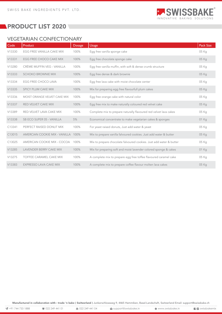

## VEGETARIAN CONFECTIONARY

| Code   | Product                            | <b>Dosage</b> | <b>Usage</b>                                                        | <b>Pack Size</b> |
|--------|------------------------------------|---------------|---------------------------------------------------------------------|------------------|
| V13330 | EGG FREE VANILLA CAKE MIX          | 100%          | Egg free vanilla sponge cake                                        | 05 Kg            |
| V13331 | EGG FREE CHOCO CAKE MIX            | 100%          | Egg free chocolate sponge cake                                      | 05 Kg            |
| V13280 | CRÈME MUFFIN VEG - VANILLA         | 100%          | Egg free vanilla muffin, with soft & dense crumb structure          | 05 Kg            |
| V13333 | <b>SCHOKO BROWNIE MIX</b>          | 100%          | Egg free dense & dark brownie                                       | 05 Kg            |
| V13334 | <b>EGG FREE CHOCO LAVA</b>         | 100%          | Egg free lava cake with moist chocolate center                      | 05 Kg            |
| V13335 | SPICY PLUM CAKE MIX                | 100%          | Mix for preparing egg free flavourfull plum cakes                   | 05 Kg            |
| V13336 | MOIST ORANGE VELVET CAKE MIX       | 100%          | Egg free orange cake with natural color                             | 05 Kg            |
| V13337 | RED VELVET CAKE MIX                | 100%          | Egg free mix to make naturally coloured red velvet cake             | 05 Kg            |
| V13389 | RED VELVET LAVA CAKE MIX           | 100%          | Complete mix to prepare naturally flavoured red velvet lava cakes   | 05 Kg            |
| V13338 | SB ECO SUPER 05 - VANILLA          | 5%            | Economical concentrate to make vegetarian cakes & sponges           | 01 Kg            |
| C13341 | PERFECT RAISED DONUT MIX           | 100%          | For yeast raised donuts, Just add water & yeast                     | 05 Kg            |
| C13015 | AMERCIAN COOKIE MIX - VANILLA 100% |               | Mix to prepare vanilla falvoured cookies. Just add water & butter   | 05 Kg            |
| C13025 | AMERICAN COOKIE MIX - COCOA        | 100%          | Mix to prepare chocolate falvoured cookies. Just add water & butter | 05 Kg            |
| V13285 | LAVENDER BERRY CAKE MIX            | 100%          | Mix for preparing soft and moist lavender colored sponge & cakes    | 01 Kg            |
| V13275 | TOFFEE CARAMEL CAKE MIX            | 100%          | A complete mix to prepare egg free toffee flavoured caramel cake    | 05 Kg            |
| V13383 | <b>EXPRESSO LAVA CAKE MIX</b>      | 100%          | A complete mix to prepare coffee flavour molten lava cakes          | 05 Kg            |